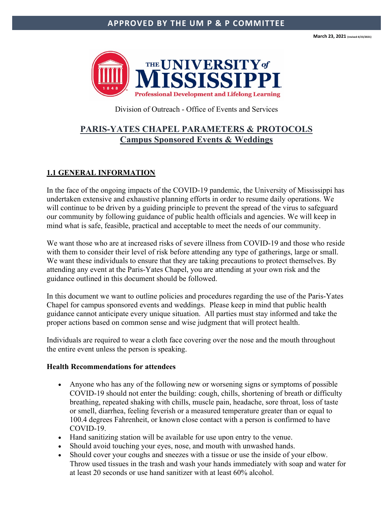**March 23, 2021 (revised 4/23/2021)**



Division of Outreach - Office of Events and Services

# **PARIS-YATES CHAPEL PARAMETERS & PROTOCOLS Campus Sponsored Events & Weddings**

### **1.1 GENERAL INFORMATION**

In the face of the ongoing impacts of the COVID-19 pandemic, the University of Mississippi has undertaken extensive and exhaustive planning efforts in order to resume daily operations. We will continue to be driven by a guiding principle to prevent the spread of the virus to safeguard our community by following guidance of public health officials and agencies. We will keep in mind what is safe, feasible, practical and acceptable to meet the needs of our community.

We want those who are at increased risks of severe illness from COVID-19 and those who reside with them to consider their level of risk before attending any type of gatherings, large or small. We want these individuals to ensure that they are taking precautions to protect themselves. By attending any event at the Paris-Yates Chapel, you are attending at your own risk and the guidance outlined in this document should be followed.

In this document we want to outline policies and procedures regarding the use of the Paris-Yates Chapel for campus sponsored events and weddings. Please keep in mind that public health guidance cannot anticipate every unique situation. All parties must stay informed and take the proper actions based on common sense and wise judgment that will protect health.

Individuals are required to wear a cloth face covering over the nose and the mouth throughout the entire event unless the person is speaking.

#### **Health Recommendations for attendees**

- Anyone who has any of the following new or worsening signs or symptoms of possible COVID-19 should not enter the building: cough, chills, shortening of breath or difficulty breathing, repeated shaking with chills, muscle pain, headache, sore throat, loss of taste or smell, diarrhea, feeling feverish or a measured temperature greater than or equal to 100.4 degrees Fahrenheit, or known close contact with a person is confirmed to have COVID-19.
- Hand sanitizing station will be available for use upon entry to the venue.
- Should avoid touching your eyes, nose, and mouth with unwashed hands.
- Should cover your coughs and sneezes with a tissue or use the inside of your elbow. Throw used tissues in the trash and wash your hands immediately with soap and water for at least 20 seconds or use hand sanitizer with at least 60% alcohol.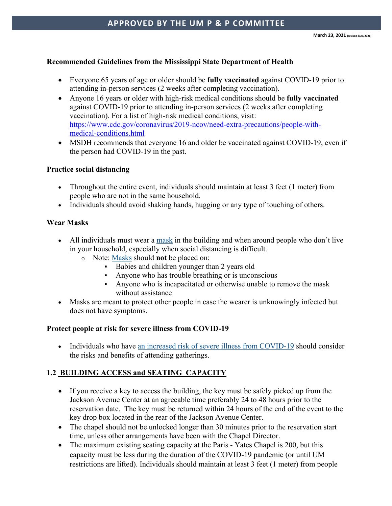### **Recommended Guidelines from the Mississippi State Department of Health**

- Everyone 65 years of age or older should be **fully vaccinated** against COVID-19 prior to attending in-person services (2 weeks after completing vaccination).
- Anyone 16 years or older with high-risk medical conditions should be **fully vaccinated** against COVID-19 prior to attending in-person services (2 weeks after completing vaccination). For a list of high-risk medical conditions, visit: https://www.cdc.gov/coronavirus/2019-ncov/need-extra-precautions/people-withmedical-conditions.html
- MSDH recommends that everyone 16 and older be vaccinated against COVID-19, even if the person had COVID-19 in the past.

#### **Practice social distancing**

- Throughout the entire event, individuals should maintain at least 3 feet (1 meter) from people who are not in the same household.
- Individuals should avoid shaking hands, hugging or any type of touching of others.

#### **Wear Masks**

- All individuals must wear a mask in the building and when around people who don't live in your household, especially when social distancing is difficult.
	- o Note: Masks should **not** be placed on:
		- Babies and children younger than 2 years old
		- Anyone who has trouble breathing or is unconscious
		- Anyone who is incapacitated or otherwise unable to remove the mask without assistance
- Masks are meant to protect other people in case the wearer is unknowingly infected but does not have symptoms.

### **Protect people at risk for severe illness from COVID-19**

• Individuals who have an increased risk of severe illness from COVID-19 should consider the risks and benefits of attending gatherings.

### **1.2 BUILDING ACCESS and SEATING CAPACITY**

- If you receive a key to access the building, the key must be safely picked up from the Jackson Avenue Center at an agreeable time preferably 24 to 48 hours prior to the reservation date. The key must be returned within 24 hours of the end of the event to the key drop box located in the rear of the Jackson Avenue Center.
- The chapel should not be unlocked longer than 30 minutes prior to the reservation start time, unless other arrangements have been with the Chapel Director.
- The maximum existing seating capacity at the Paris Yates Chapel is 200, but this capacity must be less during the duration of the COVID-19 pandemic (or until UM restrictions are lifted). Individuals should maintain at least 3 feet (1 meter) from people